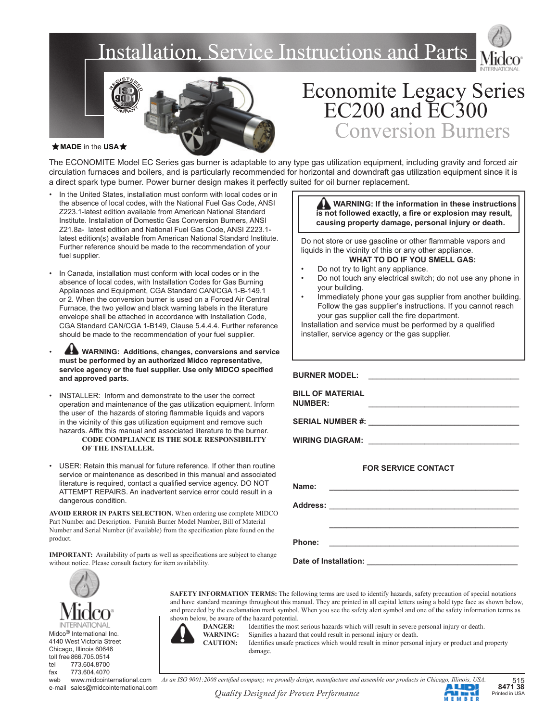## Installation, Service Instructions and Parts





## Economite Legacy Series EC200 and EC300 Conversion Burners

#### **★ MADE** in the USA★

The ECONOMITE Model EC Series gas burner is adaptable to any type gas utilization equipment, including gravity and forced air circulation furnaces and boilers, and is particularly recommended for horizontal and downdraft gas utilization equipment since it is a direct spark type burner. Power burner design makes it perfectly suited for oil burner replacement.

ī

- In the United States, installation must conform with local codes or in the absence of local codes, with the National Fuel Gas Code, ANSI Z223.1-latest edition available from American National Standard Institute. Installation of Domestic Gas Conversion Burners, ANSI Z21.8a- latest edition and National Fuel Gas Code, ANSI Z223.1 latest edition(s) available from American National Standard Institute. Further reference should be made to the recommendation of your fuel supplier.
- In Canada, installation must conform with local codes or in the absence of local codes, with Installation Codes for Gas Burning Appliances and Equipment, CGA Standard CAN/CGA 1-B-149.1 or 2. When the conversion burner is used on a Forced Air Central Furnace, the two yellow and black warning labels in the literature envelope shall be attached in accordance with Installation Code, CGA Standard CAN/CGA 1-B149, Clause 5.4.4.4. Further reference should be made to the recommendation of your fuel supplier.
- **WARNING: Additions, changes, conversions and service must be performed by an authorized Midco representative,**  service agency or the fuel supplier. Use only MIDCO specified **and approved parts.**
- INSTALLER: Inform and demonstrate to the user the correct operation and maintenance of the gas utilization equipment. Inform the user of the hazards of storing flammable liquids and vapors in the vicinity of this gas utilization equipment and remove such hazards. Affix this manual and associated literature to the burner. **CODE COMPLIANCE IS THE SOLE RESPONSIBILITY OF THE INSTALLER.**
- USER: Retain this manual for future reference. If other than routine service or maintenance as described in this manual and associated literature is required, contact a qualified service agency. DO NOT ATTEMPT REPAIRS. An inadvertent service error could result in a dangerous condition.

**AVOID ERROR IN PARTS SELECTION.** When ordering use complete MIDCO Part Number and Description. Furnish Burner Model Number, Bill of Material Number and Serial Number (if available) from the specification plate found on the product.

**IMPORTANT:** Availability of parts as well as specifications are subject to change without notice. Please consult factory for item availability.

**AND WARNING: If the information in these instructions** is not followed exactly, a fire or explosion may result,  **causing property damage, personal injury or death.**

Do not store or use gasoline or other flammable vapors and liquids in the vicinity of this or any other appliance. **WHAT TO DO IF YOU SMELL GAS:**

- Do not try to light any appliance.
- Do not touch any electrical switch; do not use any phone in your building.
- Immediately phone your gas supplier from another building. Follow the gas supplier's instructions. If you cannot reach your gas supplier call the fire department.

Installation and service must be performed by a qualified installer, service agency or the gas supplier.

**BURNER MODEL:** 

**BILL OF MATERIAL NUMBER: \_\_\_\_\_\_\_\_\_\_\_\_\_\_\_\_\_\_\_\_\_\_\_\_\_\_\_\_\_\_\_\_\_\_\_**

SERIAL NUMBER #:

**WIRING DIAGRAM: \_\_\_\_\_\_\_\_\_\_\_\_\_\_\_\_\_\_\_\_\_\_\_\_\_\_\_\_\_\_\_\_\_\_\_**

#### **FOR SERVICE CONTACT**

| Name:                 |  |
|-----------------------|--|
|                       |  |
|                       |  |
|                       |  |
| Phone:                |  |
| Date of Installation: |  |

Midco® International Inc. 4140 West Victoria Street Chicago, Illinois 60646 toll free 866.705.0514 tel 773.604.8700 fax 773.604.4070 web www.midcointernational.com shown below, be aware of the hazard potential.

**DANGER:** Identifies the most serious hazards which will result in severe personal injury or death.

WARNING: Signifies a hazard that could result in personal injury or death.

**SAFETY INFORMATION TERMS:** The following terms are used to identify hazards, safety precaution of special notations and have standard meanings throughout this manual. They are printed in all capital letters using a bold type face as shown below, and preceded by the exclamation mark symbol. When you see the safety alert symbol and one of the safety information terms as

**CAUTION:** Identifies unsafe practices which would result in minor personal injury or product and property damage.

e-mail sales@midcointernational.com *Quality Designed for Proven Performance* **Proven Printed in USA** Printed in USA

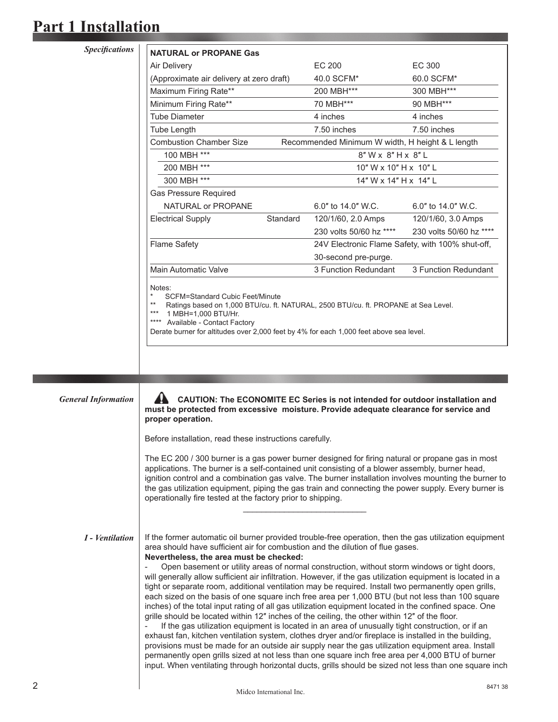*Specifi cations*

| <b>NATURAL or PROPANE Gas</b>                                                                                                                                                                                                                                                                                         |          |                                                  |                         |
|-----------------------------------------------------------------------------------------------------------------------------------------------------------------------------------------------------------------------------------------------------------------------------------------------------------------------|----------|--------------------------------------------------|-------------------------|
| Air Delivery                                                                                                                                                                                                                                                                                                          |          | EC 200                                           | EC 300                  |
| (Approximate air delivery at zero draft)                                                                                                                                                                                                                                                                              |          | 40.0 SCFM*                                       | 60.0 SCFM*              |
| Maximum Firing Rate**                                                                                                                                                                                                                                                                                                 |          | 200 MBH***                                       | 300 MBH***              |
| Minimum Firing Rate**                                                                                                                                                                                                                                                                                                 |          | 70 MBH***                                        | 90 MBH***               |
| <b>Tube Diameter</b>                                                                                                                                                                                                                                                                                                  |          | 4 inches                                         | 4 inches                |
| <b>Tube Length</b>                                                                                                                                                                                                                                                                                                    |          | 7.50 inches                                      | 7.50 inches             |
| <b>Combustion Chamber Size</b>                                                                                                                                                                                                                                                                                        |          | Recommended Minimum W width, H height & L length |                         |
| 100 MBH ***                                                                                                                                                                                                                                                                                                           |          | $8"$ W x $8"$ H x $8"$ L                         |                         |
| 200 MBH ***                                                                                                                                                                                                                                                                                                           |          | 10" W x 10" H x 10" L                            |                         |
| 300 MBH ***                                                                                                                                                                                                                                                                                                           |          | 14" W x 14" H x 14" L                            |                         |
| <b>Gas Pressure Required</b>                                                                                                                                                                                                                                                                                          |          |                                                  |                         |
| NATURAL or PROPANE                                                                                                                                                                                                                                                                                                    |          | 6.0" to 14.0" W.C.                               | $6.0"$ to 14.0" W.C.    |
| <b>Electrical Supply</b>                                                                                                                                                                                                                                                                                              | Standard | 120/1/60, 2.0 Amps                               | 120/1/60, 3.0 Amps      |
|                                                                                                                                                                                                                                                                                                                       |          | 230 volts 50/60 hz ****                          | 230 volts 50/60 hz **** |
| <b>Flame Safety</b>                                                                                                                                                                                                                                                                                                   |          | 24V Electronic Flame Safety, with 100% shut-off, |                         |
|                                                                                                                                                                                                                                                                                                                       |          | 30-second pre-purge.                             |                         |
| Main Automatic Valve                                                                                                                                                                                                                                                                                                  |          | 3 Function Redundant                             | 3 Function Redundant    |
| Notes:<br>$\star$<br>SCFM=Standard Cubic Feet/Minute<br>$***$<br>Ratings based on 1,000 BTU/cu. ft. NATURAL, 2500 BTU/cu. ft. PROPANE at Sea Level.<br>$***$<br>1 MBH=1,000 BTU/Hr.<br>$***$<br>Available - Contact Factory<br>Derate burner for altitudes over 2,000 feet by 4% for each 1,000 feet above sea level. |          |                                                  |                         |

*General Information*

 **CAUTION: The ECONOMITE EC Series is not intended for outdoor installation and must be protected from excessive moisture. Provide adequate clearance for service and proper operation.**

Before installation, read these instructions carefully.

 $\mathcal{L}_\text{max}$  and  $\mathcal{L}_\text{max}$  and  $\mathcal{L}_\text{max}$  and  $\mathcal{L}_\text{max}$  and  $\mathcal{L}_\text{max}$ 

The EC 200 / 300 burner is a gas power burner designed for firing natural or propane gas in most applications. The burner is a self-contained unit consisting of a blower assembly, burner head, ignition control and a combination gas valve. The burner installation involves mounting the burner to the gas utilization equipment, piping the gas train and connecting the power supply. Every burner is operationally fire tested at the factory prior to shipping.

*I - Ventilation*

If the former automatic oil burner provided trouble-free operation, then the gas utilization equipment area should have sufficient air for combustion and the dilution of flue gases. **Nevertheless, the area must be checked:**

Open basement or utility areas of normal construction, without storm windows or tight doors, will generally allow sufficient air infiltration. However, if the gas utilization equipment is located in a tight or separate room, additional ventilation may be required. Install two permanently open grills, each sized on the basis of one square inch free area per 1,000 BTU (but not less than 100 square inches) of the total input rating of all gas utilization equipment located in the confined space. One grille should be located within 12" inches of the ceiling, the other within 12" of the floor.

If the gas utilization equipment is located in an area of unusually tight construction, or if an exhaust fan, kitchen ventilation system, clothes dryer and/or fireplace is installed in the building, provisions must be made for an outside air supply near the gas utilization equipment area. Install permanently open grills sized at not less than one square inch free area per 4,000 BTU of burner input. When ventilating through horizontal ducts, grills should be sized not less than one square inch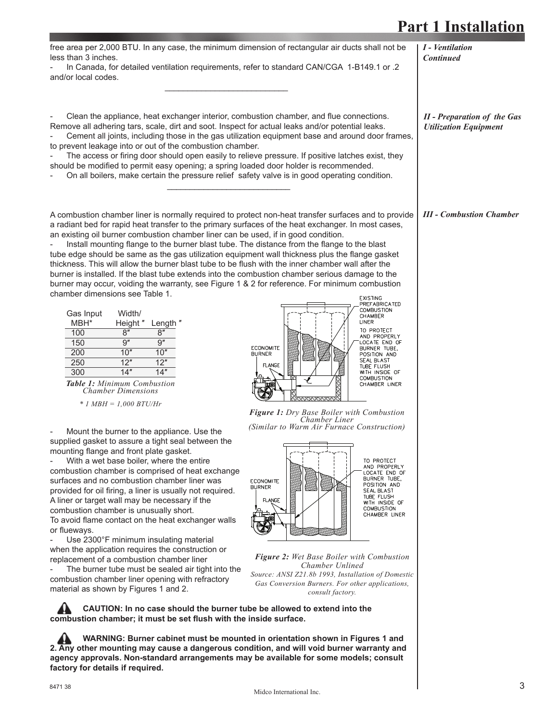*I - Ventilation Continued*

Midco International Inc.

free area per 2,000 BTU. In any case, the minimum dimension of rectangular air ducts shall not be less than 3 inches.

- In Canada, for detailed ventilation requirements, refer to standard CAN/CGA 1-B149.1 or .2 and/or local codes.  $\mathcal{L}_\text{max} = \mathcal{L}_\text{max} = \mathcal{L}_\text{max} = \mathcal{L}_\text{max} = \mathcal{L}_\text{max} = \mathcal{L}_\text{max} = \mathcal{L}_\text{max} = \mathcal{L}_\text{max}$ 

Clean the appliance, heat exchanger interior, combustion chamber, and flue connections. Remove all adhering tars, scale, dirt and soot. Inspect for actual leaks and/or potential leaks. Cement all joints, including those in the gas utilization equipment base and around door frames,

to prevent leakage into or out of the combustion chamber. The access or firing door should open easily to relieve pressure. If positive latches exist, they should be modified to permit easy opening; a spring loaded door holder is recommended.

On all boilers, make certain the pressure relief safety valve is in good operating condition.  $\mathcal{L}_\text{max} = \mathcal{L}_\text{max} = \mathcal{L}_\text{max} = \mathcal{L}_\text{max} = \mathcal{L}_\text{max} = \mathcal{L}_\text{max} = \mathcal{L}_\text{max} = \mathcal{L}_\text{max}$ 

A combustion chamber liner is normally required to protect non-heat transfer surfaces and to provide a radiant bed for rapid heat transfer to the primary surfaces of the heat exchanger. In most cases, an existing oil burner combustion chamber liner can be used, if in good condition.

Install mounting flange to the burner blast tube. The distance from the flange to the blast tube edge should be same as the gas utilization equipment wall thickness plus the flange gasket thickness. This will allow the burner blast tube to be flush with the inner chamber wall after the burner is installed. If the blast tube extends into the combustion chamber serious damage to the burner may occur, voiding the warranty, see Figure 1 & 2 for reference. For minimum combustion chamber dimensions see Table 1. EXISTING<br>PREFABRICATED

| Gas Input | Width/  |        |
|-----------|---------|--------|
| MBH*      | Height" | Length |
| 100       | ጸ"      | ጸ'     |
| 150       | q"      | g"     |
| 200       | 10"     | 10"    |
| 250       | 12"     | 12"    |
| 300       |         | 1″     |
|           |         |        |

|  |  | <b>Table 1:</b> Minimum Combustion |  |
|--|--|------------------------------------|--|
|  |  | <b>Chamber Dimensions</b>          |  |
|  |  | - - - - - <del>- - - -</del>       |  |

*\* 1 MBH = 1,000 BTU/Hr*

Mount the burner to the appliance. Use the supplied gasket to assure a tight seal between the mounting flange and front plate gasket.

With a wet base boiler, where the entire combustion chamber is comprised of heat exchange surfaces and no combustion chamber liner was provided for oil firing, a liner is usually not required. A liner or target wall may be necessary if the combustion chamber is unusually short. To avoid flame contact on the heat exchanger walls or flueways.

Use 2300°F minimum insulating material when the application requires the construction or replacement of a combustion chamber liner The burner tube must be sealed air tight into the combustion chamber liner opening with refractory material as shown by Figures 1 and 2.

 **CAUTION: In no case should the burner tube be allowed to extend into the**  combustion chamber; it must be set flush with the inside surface.

 **WARNING: Burner cabinet must be mounted in orientation shown in Figures 1 and 2. Any other mounting may cause a dangerous condition, and will void burner warranty and agency approvals. Non-standard arrangements may be available for some models; consult factory for details if required.**

COMBUSTION<br>CHAMBER LINER TO PROTECT AND PROPERLY<br>LOCATE END OF<br>BURNER TUBE, **FCONOMITE** POSITION AND **BURNER SEAL BLAST TUBE FLUSH** WITH INSIDE OF **COMBUSTION** CHAMBER LINER

*Figure 1: Dry Base Boiler with Combustion Chamber Liner (Similar to Warm Air Furnace Construction)*



*Figure 2: Wet Base Boiler with Combustion Chamber Unlined Source: ANSI Z21.8b 1993, Installation of Domestic Gas Conversion Burners. For other applications, consult factory.*

*III - Combustion Chamber*

*II - Preparation of the Gas Utilization Equipment*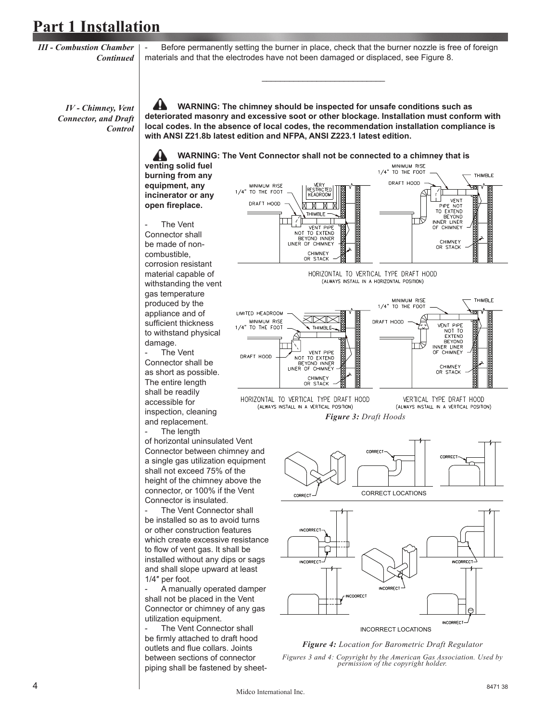*III - Combustion Chamber Continued*

Before permanently setting the burner in place, check that the burner nozzle is free of foreign materials and that the electrodes have not been damaged or displaced, see Figure 8.

 $\frac{1}{2}$  , and the set of the set of the set of the set of the set of the set of the set of the set of the set of the set of the set of the set of the set of the set of the set of the set of the set of the set of the set

*IV - Chimney, Vent Connector, and Draft Control*

 **WARNING: The chimney should be inspected for unsafe conditions such as deteriorated masonry and excessive soot or other blockage. Installation must conform with local codes. In the absence of local codes, the recommendation installation compliance is with ANSI Z21.8b latest edition and NFPA, ANSI Z223.1 latest edition.**

**WARNING: The Vent Connector shall not be connected to a chimney that is** 

**venting solid fuel burning from any equipment, any incinerator or any**  open fireplace.



- The Vent Connector shall be as short as possible. The entire length shall be readily accessible for inspection, cleaning and replacement.

The length

of horizontal uninsulated Vent Connector between chimney and a single gas utilization equipment shall not exceed 75% of the height of the chimney above the connector, or 100% if the Vent Connector is insulated.

The Vent Connector shall be installed so as to avoid turns or other construction features which create excessive resistance to flow of vent gas. It shall be installed without any dips or sags and shall slope upward at least 1/4″ per foot.

- A manually operated damper shall not be placed in the Vent Connector or chimney of any gas utilization equipment.

The Vent Connector shall be firmly attached to draft hood outlets and flue collars. Joints between sections of connector piping shall be fastened by sheet-





THIMBLE





HORIZONTAL TO VERTICAL TYPE DRAFT HOOD (ALWAYS INSTALL IN A VERTICAL POSITION)









### *Figure 4: Location for Barometric Draft Regulator Figures 3 and 4: Copyright by the American Gas Association. Used by permission of the copyright holder.*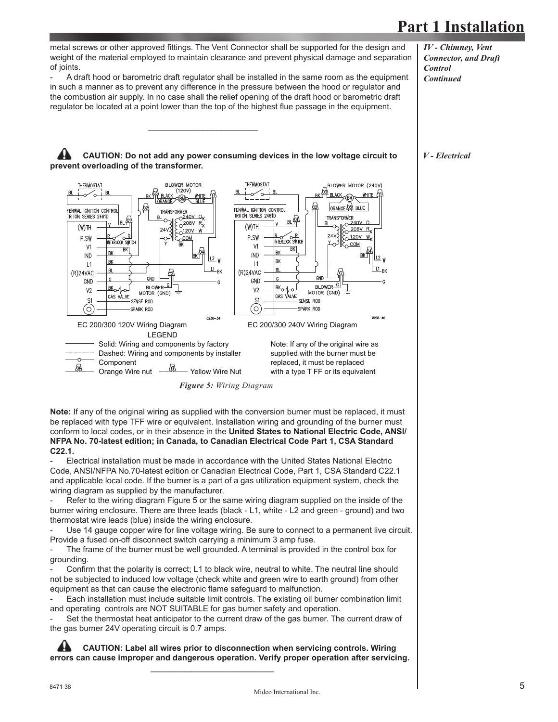metal screws or other approved fittings. The Vent Connector shall be supported for the design and weight of the material employed to maintain clearance and prevent physical damage and separation of joints.

A draft hood or barometric draft regulator shall be installed in the same room as the equipment in such a manner as to prevent any difference in the pressure between the hood or regulator and the combustion air supply. In no case shall the relief opening of the draft hood or barometric draft regulator be located at a point lower than the top of the highest flue passage in the equipment.

*IV - Chimney, Vent Connector, and Draft Control Continued*

*V - Electrical*



 $\mathcal{L}_\text{max}$  and  $\mathcal{L}_\text{max}$  and  $\mathcal{L}_\text{max}$  and  $\mathcal{L}_\text{max}$  and  $\mathcal{L}_\text{max}$ 



*Figure 5: Wiring Diagram*

**Note:** If any of the original wiring as supplied with the conversion burner must be replaced, it must be replaced with type TFF wire or equivalent. Installation wiring and grounding of the burner must conform to local codes, or in their absence in the **United States to National Electric Code, ANSI/ NFPA No. 70-latest edition; in Canada, to Canadian Electrical Code Part 1, CSA Standard C22.1.**

Electrical installation must be made in accordance with the United States National Electric Code, ANSI/NFPA No.70-latest edition or Canadian Electrical Code, Part 1, CSA Standard C22.1 and applicable local code. If the burner is a part of a gas utilization equipment system, check the wiring diagram as supplied by the manufacturer.

Refer to the wiring diagram Figure 5 or the same wiring diagram supplied on the inside of the burner wiring enclosure. There are three leads (black - L1, white - L2 and green - ground) and two thermostat wire leads (blue) inside the wiring enclosure.

Use 14 gauge copper wire for line voltage wiring. Be sure to connect to a permanent live circuit. Provide a fused on-off disconnect switch carrying a minimum 3 amp fuse.

The frame of the burner must be well grounded. A terminal is provided in the control box for grounding.

Confirm that the polarity is correct; L1 to black wire, neutral to white. The neutral line should not be subjected to induced low voltage (check white and green wire to earth ground) from other equipment as that can cause the electronic flame safeguard to malfunction.

Each installation must include suitable limit controls. The existing oil burner combination limit and operating controls are NOT SUITABLE for gas burner safety and operation.

Set the thermostat heat anticipator to the current draw of the gas burner. The current draw of the gas burner 24V operating circuit is 0.7 amps.

 **CAUTION: Label all wires prior to disconnection when servicing controls. Wiring errors can cause improper and dangerous operation. Verify proper operation after servicing.**

 $\mathcal{L}_\text{max}$  and  $\mathcal{L}_\text{max}$  and  $\mathcal{L}_\text{max}$  and  $\mathcal{L}_\text{max}$  and  $\mathcal{L}_\text{max}$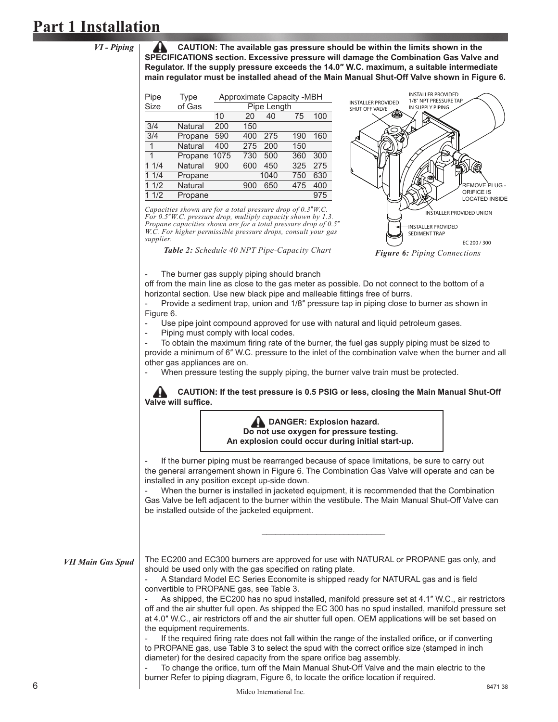**CAUTION: The available gas pressure should be within the limits shown in the SPECIFICATIONS section. Excessive pressure will damage the Combination Gas Valve and Regulator. If the supply pressure exceeds the 14.0″ W.C. maximum, a suitable intermediate main regulator must be installed ahead of the Main Manual Shut-Off Valve shown in Figure 6.**

| <b>Type</b> |      |             |     |      |                           |
|-------------|------|-------------|-----|------|---------------------------|
| of Gas      |      | Pipe Length |     |      |                           |
|             | 10   | 20          | 40  | 75   | 100                       |
| Natural     | 200  | 150         |     |      |                           |
| Propane     | 590  | 400         | 275 | 190  | 160                       |
| Natural     | 400  | 275         | 200 | 150  |                           |
| Propane     | 1075 | 730         | 500 | 360  | 300                       |
| Natural     | 900  | 600         | 450 | 325  | 275                       |
| Propane     |      |             |     | 750  | 630                       |
| Natural     |      | 900         | 650 | 475  | 400                       |
| Propane     |      |             |     |      | 975                       |
|             |      |             |     | 1040 | Approximate Capacity -MBH |

*Capacities shown are for a total pressure drop of 0.3*″*W.C. For 0.5*″*W.C. pressure drop, multiply capacity shown by 1.3. Propane capacities shown are for a total pressure drop of 0.5*″ *W.C. For higher permissible pressure drops, consult your gas supplier.*



The burner gas supply piping should branch

off from the main line as close to the gas meter as possible. Do not connect to the bottom of a horizontal section. Use new black pipe and malleable fittings free of burrs.

Provide a sediment trap, union and 1/8" pressure tap in piping close to burner as shown in Figure 6.

Use pipe joint compound approved for use with natural and liquid petroleum gases.

Piping must comply with local codes.

To obtain the maximum firing rate of the burner, the fuel gas supply piping must be sized to provide a minimum of 6″ W.C. pressure to the inlet of the combination valve when the burner and all other gas appliances are on.

When pressure testing the supply piping, the burner valve train must be protected.

 **CAUTION: If the test pressure is 0.5 PSIG or less, closing the Main Manual Shut-Off Valve will suffice.** 

> **DANGER: Explosion hazard. Do not use oxygen for pressure testing. An explosion could occur during initial start-up.**

If the burner piping must be rearranged because of space limitations, be sure to carry out the general arrangement shown in Figure 6. The Combination Gas Valve will operate and can be installed in any position except up-side down.

When the burner is installed in jacketed equipment, it is recommended that the Combination Gas Valve be left adjacent to the burner within the vestibule. The Main Manual Shut-Off Valve can be installed outside of the jacketed equipment.

*VII Main Gas Spud*

The EC200 and EC300 burners are approved for use with NATURAL or PROPANE gas only, and should be used only with the gas specified on rating plate.

A Standard Model EC Series Economite is shipped ready for NATURAL gas and is field convertible to PROPANE gas, see Table 3.

As shipped, the EC200 has no spud installed, manifold pressure set at 4.1" W.C., air restrictors off and the air shutter full open. As shipped the EC 300 has no spud installed, manifold pressure set at 4.0″ W.C., air restrictors off and the air shutter full open. OEM applications will be set based on the equipment requirements.

If the required firing rate does not fall within the range of the installed orifice, or if converting to PROPANE gas, use Table 3 to select the spud with the correct orifice size (stamped in inch diameter) for the desired capacity from the spare orifice bag assembly.

To change the orifice, turn off the Main Manual Shut-Off Valve and the main electric to the burner Refer to piping diagram, Figure 6, to locate the orifice location if required.

 $\frac{1}{2}$  , and the set of the set of the set of the set of the set of the set of the set of the set of the set of the set of the set of the set of the set of the set of the set of the set of the set of the set of the set

*VI - Piping*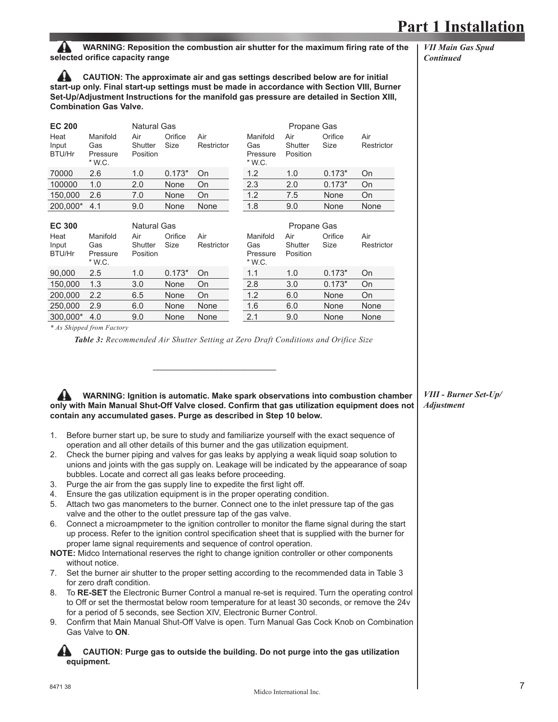**WARNING: Reposition the combustion air shutter for the maximum firing rate of the** selected orifice capacity range

 **CAUTION: The approximate air and gas settings described below are for initial start-up only. Final start-up settings must be made in accordance with Section VIII, Burner Set-Up/Adjustment Instructions for the manifold gas pressure are detailed in Section XIII, Combination Gas Valve.**

| <b>EC 200</b>           |                                       | <b>Natural Gas</b>         |                 |                   |                                         | Propane Gas                |                 |                   |
|-------------------------|---------------------------------------|----------------------------|-----------------|-------------------|-----------------------------------------|----------------------------|-----------------|-------------------|
| Heat<br>Input<br>BTU/Hr | Manifold<br>Gas<br>Pressure<br>" W.C. | Air<br>Shutter<br>Position | Orifice<br>Size | Air<br>Restrictor | Manifold<br>Gas<br>Pressure<br>$"$ W.C. | Air<br>Shutter<br>Position | Orifice<br>Size | Air<br>Restrictor |
| 70000                   | 2.6                                   | 1.0                        | 0.173''         | On                | 1.2                                     | 1.0                        | 0.173''         | On                |
| 100000                  | 1.0                                   | 2.0                        | None            | On                | 2.3                                     | 2.0                        | 0.173''         | On                |
| 150,000                 | 2.6                                   | 7.0                        | None            | On                | 1.2                                     | 7.5                        | None            | On                |
| 200,000*                | 4.1                                   | 9.0                        | None            | None              | 1.8                                     | 9.0                        | None            | None              |
|                         |                                       |                            |                 |                   |                                         |                            |                 |                   |
|                         |                                       |                            |                 |                   |                                         |                            |                 |                   |
| <b>EC 300</b>           |                                       | <b>Natural Gas</b>         |                 |                   |                                         | Propane Gas                |                 |                   |
| Heat<br>Input<br>BTU/Hr | Manifold<br>Gas<br>Pressure<br>" W.C. | Air<br>Shutter<br>Position | Orifice<br>Size | Air<br>Restrictor | Manifold<br>Gas<br>Pressure<br>" W.C.   | Air<br>Shutter<br>Position | Orifice<br>Size | Air<br>Restrictor |
| 90,000                  | 2.5                                   | 1.0                        | 0.173''         | On                | 1.1                                     | 1.0                        | 0.173''         | On                |
| 150,000                 | 1.3                                   | 3.0                        | None            | On                | 2.8                                     | 3.0                        | 0.173''         | On                |
| 200,000                 | 2.2                                   | 6.5                        | None            | On                | 1.2                                     | 6.0                        | None            | On                |
| 250,000                 | 2.9                                   | 6.0                        | None            | None              | 1.6                                     | 6.0                        | None            | None              |

*\* As Shipped from Factory*

*Table 3: Recommended Air Shutter Setting at Zero Draft Conditions and Orifice Size*

 **WARNING: Ignition is automatic. Make spark observations into combustion chamber**  only with Main Manual Shut-Off Valve closed. Confirm that gas utilization equipment does not **contain any accumulated gases. Purge as described in Step 10 below.**

- 1. Before burner start up, be sure to study and familiarize yourself with the exact sequence of operation and all other details of this burner and the gas utilization equipment.
- 2. Check the burner piping and valves for gas leaks by applying a weak liquid soap solution to unions and joints with the gas supply on. Leakage will be indicated by the appearance of soap bubbles. Locate and correct all gas leaks before proceeding.
- 3. Purge the air from the gas supply line to expedite the first light off.

 $\mathcal{L}_\text{max}$  and  $\mathcal{L}_\text{max}$  and  $\mathcal{L}_\text{max}$  and  $\mathcal{L}_\text{max}$  and  $\mathcal{L}_\text{max}$ 

- 4. Ensure the gas utilization equipment is in the proper operating condition.
- 5. Attach two gas manometers to the burner. Connect one to the inlet pressure tap of the gas valve and the other to the outlet pressure tap of the gas valve.
- 6. Connect a microampmeter to the ignition controller to monitor the flame signal during the start up process. Refer to the ignition control specification sheet that is supplied with the burner for proper lame signal requirements and sequence of control operation.
- **NOTE:** Midco International reserves the right to change ignition controller or other components without notice.
- 7. Set the burner air shutter to the proper setting according to the recommended data in Table 3 for zero draft condition.
- 8. To **RE-SET** the Electronic Burner Control a manual re-set is required. Turn the operating control to Off or set the thermostat below room temperature for at least 30 seconds, or remove the 24v for a period of 5 seconds, see Section XIV, Electronic Burner Control.
- 9. Confirm that Main Manual Shut-Off Valve is open. Turn Manual Gas Cock Knob on Combination Gas Valve to **ON**.

### **CAUTION: Purge gas to outside the building. Do not purge into the gas utilization equipment.**

*VII Main Gas Spud Continued*

*VIII - Burner Set-Up/ Adjustment*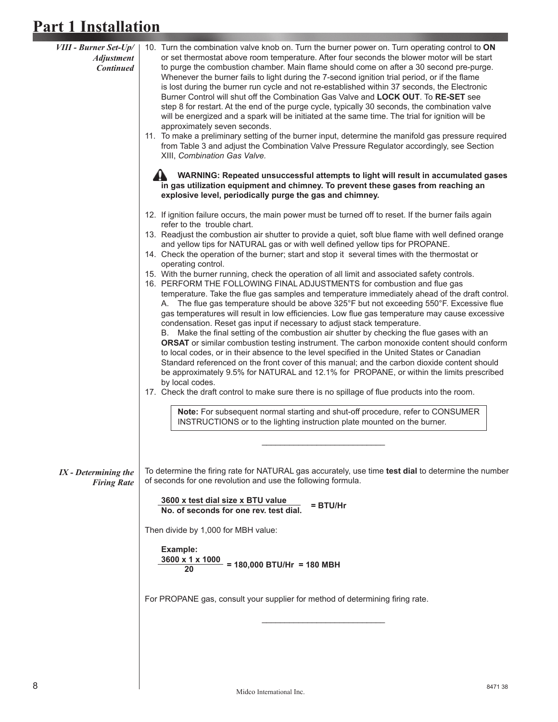| <b>VIII - Burner Set-Up/</b><br><b>Adjustment</b><br><b>Continued</b> | 10. Turn the combination valve knob on. Turn the burner power on. Turn operating control to ON<br>or set thermostat above room temperature. After four seconds the blower motor will be start<br>to purge the combustion chamber. Main flame should come on after a 30 second pre-purge.<br>Whenever the burner fails to light during the 7-second ignition trial period, or if the flame<br>is lost during the burner run cycle and not re-established within 37 seconds, the Electronic<br>Burner Control will shut off the Combination Gas Valve and LOCK OUT. To RE-SET see<br>step 8 for restart. At the end of the purge cycle, typically 30 seconds, the combination valve<br>will be energized and a spark will be initiated at the same time. The trial for ignition will be<br>approximately seven seconds.<br>11. To make a preliminary setting of the burner input, determine the manifold gas pressure required<br>from Table 3 and adjust the Combination Valve Pressure Regulator accordingly, see Section<br>XIII, Combination Gas Valve.                                                                                                                                                                                                                                                                                                                                                                                                                                                                                                                                                                                                                                                                                                                                    |
|-----------------------------------------------------------------------|----------------------------------------------------------------------------------------------------------------------------------------------------------------------------------------------------------------------------------------------------------------------------------------------------------------------------------------------------------------------------------------------------------------------------------------------------------------------------------------------------------------------------------------------------------------------------------------------------------------------------------------------------------------------------------------------------------------------------------------------------------------------------------------------------------------------------------------------------------------------------------------------------------------------------------------------------------------------------------------------------------------------------------------------------------------------------------------------------------------------------------------------------------------------------------------------------------------------------------------------------------------------------------------------------------------------------------------------------------------------------------------------------------------------------------------------------------------------------------------------------------------------------------------------------------------------------------------------------------------------------------------------------------------------------------------------------------------------------------------------------------------------------------------------|
|                                                                       | WARNING: Repeated unsuccessful attempts to light will result in accumulated gases<br>in gas utilization equipment and chimney. To prevent these gases from reaching an<br>explosive level, periodically purge the gas and chimney.                                                                                                                                                                                                                                                                                                                                                                                                                                                                                                                                                                                                                                                                                                                                                                                                                                                                                                                                                                                                                                                                                                                                                                                                                                                                                                                                                                                                                                                                                                                                                           |
|                                                                       | 12. If ignition failure occurs, the main power must be turned off to reset. If the burner fails again<br>refer to the trouble chart.<br>13. Readjust the combustion air shutter to provide a quiet, soft blue flame with well defined orange<br>and yellow tips for NATURAL gas or with well defined yellow tips for PROPANE.<br>14. Check the operation of the burner; start and stop it several times with the thermostat or<br>operating control.<br>15. With the burner running, check the operation of all limit and associated safety controls.<br>16. PERFORM THE FOLLOWING FINAL ADJUSTMENTS for combustion and flue gas<br>temperature. Take the flue gas samples and temperature immediately ahead of the draft control.<br>A. The flue gas temperature should be above 325°F but not exceeding 550°F. Excessive flue<br>gas temperatures will result in low efficiencies. Low flue gas temperature may cause excessive<br>condensation. Reset gas input if necessary to adjust stack temperature.<br>B. Make the final setting of the combustion air shutter by checking the flue gases with an<br><b>ORSAT</b> or similar combustion testing instrument. The carbon monoxide content should conform<br>to local codes, or in their absence to the level specified in the United States or Canadian<br>Standard referenced on the front cover of this manual; and the carbon dioxide content should<br>be approximately 9.5% for NATURAL and 12.1% for PROPANE, or within the limits prescribed<br>by local codes.<br>17. Check the draft control to make sure there is no spillage of flue products into the room.<br>Note: For subsequent normal starting and shut-off procedure, refer to CONSUMER<br>INSTRUCTIONS or to the lighting instruction plate mounted on the burner. |
| $IX$ - Determining the<br><b>Firing Rate</b>                          | To determine the firing rate for NATURAL gas accurately, use time test dial to determine the number<br>of seconds for one revolution and use the following formula.<br>3600 x test dial size x BTU value<br>$=$ BTU/Hr<br>No. of seconds for one rev. test dial.                                                                                                                                                                                                                                                                                                                                                                                                                                                                                                                                                                                                                                                                                                                                                                                                                                                                                                                                                                                                                                                                                                                                                                                                                                                                                                                                                                                                                                                                                                                             |
|                                                                       | Then divide by 1,000 for MBH value:<br>Example:<br>$\frac{3600 \times 1 \times 1000}{20} = 180,000 \text{ BTU/Hr} = 180 \text{ MBH}$                                                                                                                                                                                                                                                                                                                                                                                                                                                                                                                                                                                                                                                                                                                                                                                                                                                                                                                                                                                                                                                                                                                                                                                                                                                                                                                                                                                                                                                                                                                                                                                                                                                         |
|                                                                       | For PROPANE gas, consult your supplier for method of determining firing rate.                                                                                                                                                                                                                                                                                                                                                                                                                                                                                                                                                                                                                                                                                                                                                                                                                                                                                                                                                                                                                                                                                                                                                                                                                                                                                                                                                                                                                                                                                                                                                                                                                                                                                                                |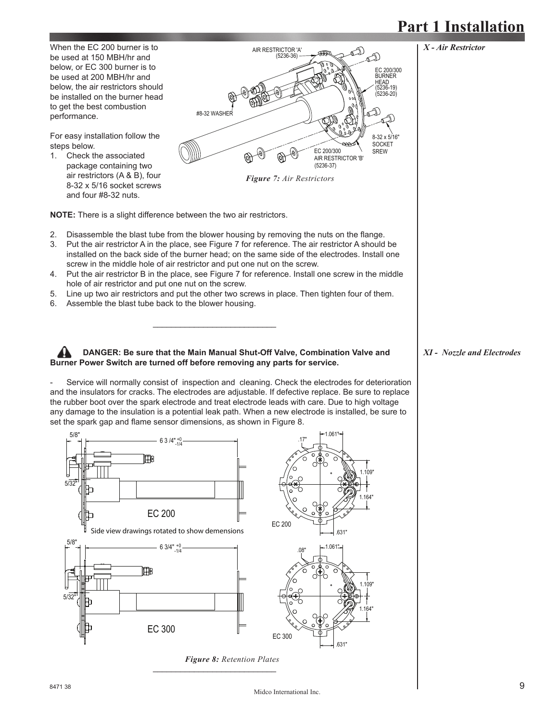

**NOTE:** There is a slight difference between the two air restrictors.

- 2. Disassemble the blast tube from the blower housing by removing the nuts on the flange.
- 3. Put the air restrictor A in the place, see Figure 7 for reference. The air restrictor A should be installed on the back side of the burner head; on the same side of the electrodes. Install one screw in the middle hole of air restrictor and put one nut on the screw.
- 4. Put the air restrictor B in the place, see Figure 7 for reference. Install one screw in the middle hole of air restrictor and put one nut on the screw.
- 5. Line up two air restrictors and put the other two screws in place. Then tighten four of them.
- 6. Assemble the blast tube back to the blower housing.

 $\mathcal{L}_\text{max}$  and  $\mathcal{L}_\text{max}$  and  $\mathcal{L}_\text{max}$  and  $\mathcal{L}_\text{max}$  and  $\mathcal{L}_\text{max}$ 

 $\mathcal{L}_\text{max} = \frac{1}{2} \sum_{i=1}^{n} \frac{1}{2} \sum_{i=1}^{n} \frac{1}{2} \sum_{i=1}^{n} \frac{1}{2} \sum_{i=1}^{n} \frac{1}{2} \sum_{i=1}^{n} \frac{1}{2} \sum_{i=1}^{n} \frac{1}{2} \sum_{i=1}^{n} \frac{1}{2} \sum_{i=1}^{n} \frac{1}{2} \sum_{i=1}^{n} \frac{1}{2} \sum_{i=1}^{n} \frac{1}{2} \sum_{i=1}^{n} \frac{1}{2} \sum_{i=1}^{n} \frac{1$ 

### **DANGER: Be sure that the Main Manual Shut-Off Valve, Combination Valve and Burner Power Switch are turned off before removing any parts for service.**

Service will normally consist of inspection and cleaning. Check the electrodes for deterioration and the insulators for cracks. The electrodes are adjustable. If defective replace. Be sure to replace the rubber boot over the spark electrode and treat electrode leads with care. Due to high voltage any damage to the insulation is a potential leak path. When a new electrode is installed, be sure to set the spark gap and flame sensor dimensions, as shown in Figure 8.



*XI - Nozzle and Electrodes*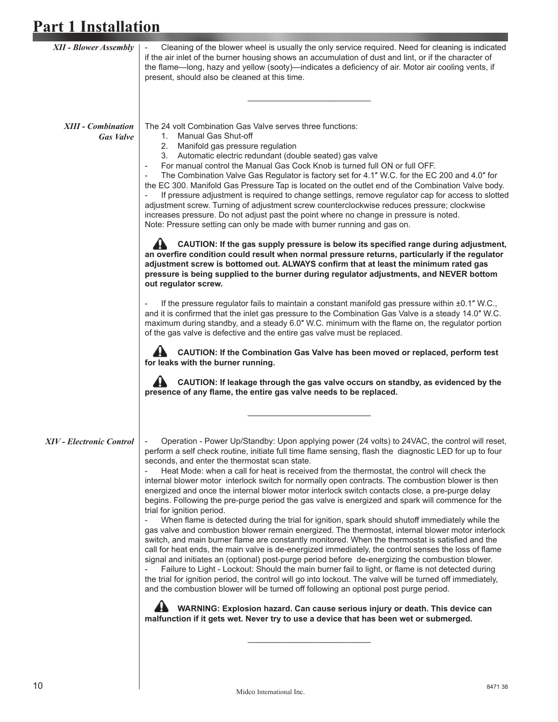| <b>XII - Blower Assembly</b>                  | Cleaning of the blower wheel is usually the only service required. Need for cleaning is indicated<br>if the air inlet of the burner housing shows an accumulation of dust and lint, or if the character of<br>the flame-long, hazy and yellow (sooty)-indicates a deficiency of air. Motor air cooling vents, if<br>present, should also be cleaned at this time.                                                                                                                                                                                                                                                                                                                                                                                                                                                                                                                                                                                                                                                                                                                                                                                                                                                                                                                                                                                                                                                                                                                                                                                                                                                                                                                                                                                                                                                                                                                                                                |
|-----------------------------------------------|----------------------------------------------------------------------------------------------------------------------------------------------------------------------------------------------------------------------------------------------------------------------------------------------------------------------------------------------------------------------------------------------------------------------------------------------------------------------------------------------------------------------------------------------------------------------------------------------------------------------------------------------------------------------------------------------------------------------------------------------------------------------------------------------------------------------------------------------------------------------------------------------------------------------------------------------------------------------------------------------------------------------------------------------------------------------------------------------------------------------------------------------------------------------------------------------------------------------------------------------------------------------------------------------------------------------------------------------------------------------------------------------------------------------------------------------------------------------------------------------------------------------------------------------------------------------------------------------------------------------------------------------------------------------------------------------------------------------------------------------------------------------------------------------------------------------------------------------------------------------------------------------------------------------------------|
| <b>XIII - Combination</b><br><b>Gas Valve</b> | The 24 volt Combination Gas Valve serves three functions:<br>1. Manual Gas Shut-off<br>2. Manifold gas pressure regulation<br>3. Automatic electric redundant (double seated) gas valve<br>For manual control the Manual Gas Cock Knob is turned full ON or full OFF.<br>The Combination Valve Gas Regulator is factory set for 4.1" W.C. for the EC 200 and 4.0" for<br>the EC 300. Manifold Gas Pressure Tap is located on the outlet end of the Combination Valve body.<br>If pressure adjustment is required to change settings, remove regulator cap for access to slotted<br>adjustment screw. Turning of adjustment screw counterclockwise reduces pressure; clockwise<br>increases pressure. Do not adjust past the point where no change in pressure is noted.<br>Note: Pressure setting can only be made with burner running and gas on.<br>CAUTION: If the gas supply pressure is below its specified range during adjustment,<br>an overfire condition could result when normal pressure returns, particularly if the regulator<br>adjustment screw is bottomed out. ALWAYS confirm that at least the minimum rated gas<br>pressure is being supplied to the burner during regulator adjustments, and NEVER bottom<br>out regulator screw.<br>If the pressure regulator fails to maintain a constant manifold gas pressure within ±0.1" W.C.,<br>and it is confirmed that the inlet gas pressure to the Combination Gas Valve is a steady 14.0" W.C.<br>maximum during standby, and a steady 6.0" W.C. minimum with the flame on, the regulator portion<br>of the gas valve is defective and the entire gas valve must be replaced.<br>CAUTION: If the Combination Gas Valve has been moved or replaced, perform test<br>for leaks with the burner running.<br>CAUTION: If leakage through the gas valve occurs on standby, as evidenced by the<br>presence of any flame, the entire gas valve needs to be replaced. |
| XIV - Electronic Control                      | Operation - Power Up/Standby: Upon applying power (24 volts) to 24VAC, the control will reset,<br>perform a self check routine, initiate full time flame sensing, flash the diagnostic LED for up to four<br>seconds, and enter the thermostat scan state.<br>Heat Mode: when a call for heat is received from the thermostat, the control will check the<br>internal blower motor interlock switch for normally open contracts. The combustion blower is then<br>energized and once the internal blower motor interlock switch contacts close, a pre-purge delay<br>begins. Following the pre-purge period the gas valve is energized and spark will commence for the<br>trial for ignition period.<br>When flame is detected during the trial for ignition, spark should shutoff immediately while the<br>gas valve and combustion blower remain energized. The thermostat, internal blower motor interlock<br>switch, and main burner flame are constantly monitored. When the thermostat is satisfied and the<br>call for heat ends, the main valve is de-energized immediately, the control senses the loss of flame<br>signal and initiates an (optional) post-purge period before de-energizing the combustion blower.<br>Failure to Light - Lockout: Should the main burner fail to light, or flame is not detected during<br>the trial for ignition period, the control will go into lockout. The valve will be turned off immediately,<br>and the combustion blower will be turned off following an optional post purge period.<br>WARNING: Explosion hazard. Can cause serious injury or death. This device can<br>malfunction if it gets wet. Never try to use a device that has been wet or submerged.                                                                                                                                                                                                              |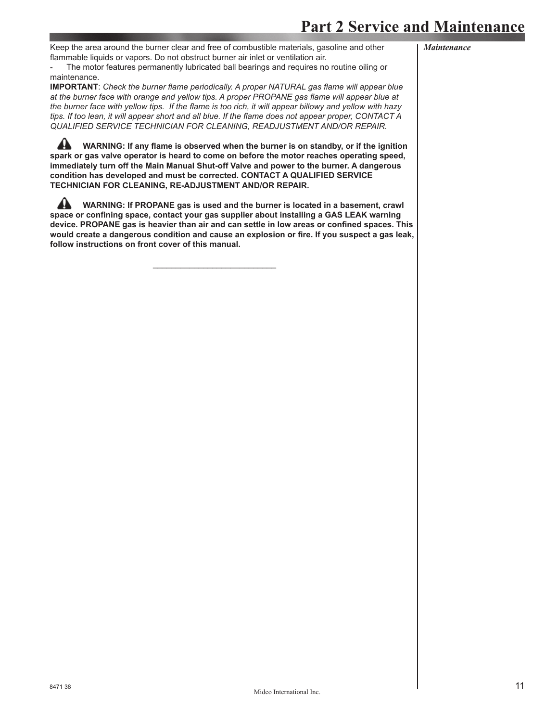### **Part 2 Service and Maintenance**

Keep the area around the burner clear and free of combustible materials, gasoline and other flammable liquids or vapors. Do not obstruct burner air inlet or ventilation air.

*Maintenance*

The motor features permanently lubricated ball bearings and requires no routine oiling or maintenance.

**IMPORTANT**: *Check the burner flame periodically. A proper NATURAL gas flame will appear blue* at the burner face with orange and yellow tips. A proper PROPANE gas flame will appear blue at the burner face with yellow tips. If the flame is too rich, it will appear billowy and yellow with hazy tips. If too lean, it will appear short and all blue. If the flame does not appear proper, CONTACT A *QUALIFIED SERVICE TECHNICIAN FOR CLEANING, READJUSTMENT AND/OR REPAIR.*

WARNING: If any flame is observed when the burner is on standby, or if the ignition **spark or gas valve operator is heard to come on before the motor reaches operating speed, immediately turn off the Main Manual Shut-off Valve and power to the burner. A dangerous condition has developed and must be corrected. CONTACT A QUALIFIED SERVICE TECHNICIAN FOR CLEANING, RE-ADJUSTMENT AND/OR REPAIR.**

 **WARNING: If PROPANE gas is used and the burner is located in a basement, crawl**  space or confining space, contact your gas supplier about installing a GAS LEAK warning device. PROPANE gas is heavier than air and can settle in low areas or confined spaces. This would create a dangerous condition and cause an explosion or fire. If you suspect a gas leak, **follow instructions on front cover of this manual.**

 $\mathcal{L}_\text{max}$  and  $\mathcal{L}_\text{max}$  and  $\mathcal{L}_\text{max}$  and  $\mathcal{L}_\text{max}$  and  $\mathcal{L}_\text{max}$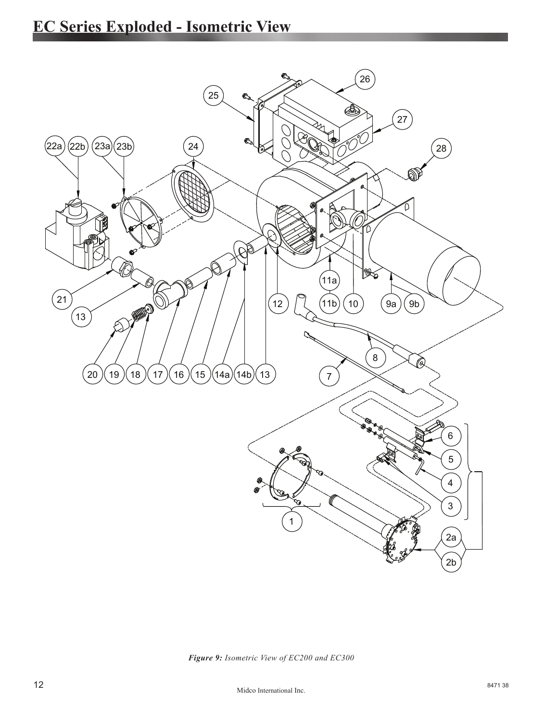

*Figure 9: Isometric View of EC200 and EC300*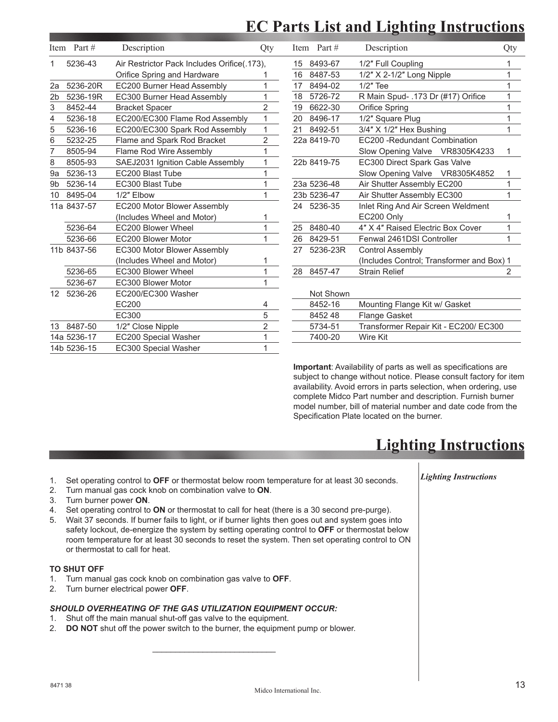## **EC Parts List and Lighting Instructions**

|                 | Item Part # | Description                                  | Qty            |    | Item Part # | Description                               | Qty            |
|-----------------|-------------|----------------------------------------------|----------------|----|-------------|-------------------------------------------|----------------|
| 1               | 5236-43     | Air Restrictor Pack Includes Orifice (.173). |                | 15 | 8493-67     | 1/2" Full Coupling                        |                |
|                 |             | Orifice Spring and Hardware                  |                | 16 | 8487-53     | $1/2"$ X 2-1/2" Long Nipple               |                |
| 2a              | 5236-20R    | EC200 Burner Head Assembly                   |                | 17 | 8494-02     | $1/2"$ Tee                                |                |
| 2 <sub>b</sub>  | 5236-19R    | EC300 Burner Head Assembly                   | 1              | 18 | 5726-72     | R Main Spud- .173 Dr (#17) Orifice        |                |
| 3               | 8452-44     | <b>Bracket Spacer</b>                        | $\overline{2}$ | 19 | 6622-30     | Orifice Spring                            |                |
| 4               | 5236-18     | EC200/EC300 Flame Rod Assembly               | 1              | 20 | 8496-17     | 1/2" Square Plug                          |                |
| 5               | 5236-16     | EC200/EC300 Spark Rod Assembly               | $\mathbf{1}$   | 21 | 8492-51     | 3/4" X 1/2" Hex Bushing                   | 1              |
| 6               | 5232-25     | Flame and Spark Rod Bracket                  | $\overline{2}$ |    | 22a 8419-70 | EC200 - Redundant Combination             |                |
|                 | 8505-94     | Flame Rod Wire Assembly                      | 1              |    |             | Slow Opening Valve VR8305K4233            | 1              |
| 8               | 8505-93     | SAEJ2031 Ignition Cable Assembly             | 1              |    | 22b 8419-75 | EC300 Direct Spark Gas Valve              |                |
| 9a              | 5236-13     | EC200 Blast Tube                             | 1              |    |             | Slow Opening Valve VR8305K4852            |                |
| 9b              | 5236-14     | EC300 Blast Tube                             | 1              |    | 23a 5236-48 | Air Shutter Assembly EC200                |                |
| 10              | 8495-04     | 1/2" Elbow                                   | 1              |    | 23b 5236-47 | Air Shutter Assembly EC300                |                |
|                 | 11a 8437-57 | EC200 Motor Blower Assembly                  |                |    | 24 5236-35  | Inlet Ring And Air Screen Weldment        |                |
|                 |             | (Includes Wheel and Motor)                   | 1              |    |             | EC200 Only                                |                |
|                 | 5236-64     | EC200 Blower Wheel                           | 1              | 25 | 8480-40     | 4" X 4" Raised Electric Box Cover         |                |
|                 | 5236-66     | EC200 Blower Motor                           | 1              | 26 | 8429-51     | Fenwal 2461DSI Controller                 |                |
|                 | 11b 8437-56 | EC300 Motor Blower Assembly                  |                | 27 | 5236-23R    | <b>Control Assembly</b>                   |                |
|                 |             | (Includes Wheel and Motor)                   |                |    |             | (Includes Control; Transformer and Box) 1 |                |
|                 | 5236-65     | EC300 Blower Wheel                           | 1              | 28 | 8457-47     | <b>Strain Relief</b>                      | $\overline{2}$ |
|                 | 5236-67     | EC300 Blower Motor                           | 1              |    |             |                                           |                |
| 12 <sup>2</sup> | 5236-26     | EC200/EC300 Washer                           |                |    | Not Shown   |                                           |                |
|                 |             | EC200                                        | 4              |    | 8452-16     | Mounting Flange Kit w/ Gasket             |                |
|                 |             | EC300                                        | 5              |    | 8452 48     | <b>Flange Gasket</b>                      |                |
|                 | 13 8487-50  | 1/2" Close Nipple                            | $\overline{2}$ |    | 5734-51     | Transformer Repair Kit - EC200/ EC300     |                |
|                 | 14a 5236-17 | EC200 Special Washer                         | 1              |    | 7400-20     | Wire Kit                                  |                |
|                 | 14b 5236-15 | EC300 Special Washer                         | 1              |    |             |                                           |                |

**Important:** Availability of parts as well as specifications are subject to change without notice. Please consult factory for item availability. Avoid errors in parts selection, when ordering, use complete Midco Part number and description. Furnish burner model number, bill of material number and date code from the Specification Plate located on the burner.

## **Lighting Instructions**

- 1. Set operating control to **OFF** or thermostat below room temperature for at least 30 seconds.
- 2. Turn manual gas cock knob on combination valve to **ON**.
- 3. Turn burner power **ON**.
- 4. Set operating control to **ON** or thermostat to call for heat (there is a 30 second pre-purge).
- 5. Wait 37 seconds. If burner fails to light, or if burner lights then goes out and system goes into safety lockout, de-energize the system by setting operating control to **OFF** or thermostat below room temperature for at least 30 seconds to reset the system. Then set operating control to ON or thermostat to call for heat.

### **TO SHUT OFF**

- 1. Turn manual gas cock knob on combination gas valve to **OFF**.
- 2. Turn burner electrical power **OFF**.

#### *SHOULD OVERHEATING OF THE GAS UTILIZATION EQUIPMENT OCCUR:*

1. Shut off the main manual shut-off gas valve to the equipment.

 $\frac{1}{\sqrt{2}}$  , which is the contract of  $\frac{1}{\sqrt{2}}$  , which is the contract of  $\frac{1}{\sqrt{2}}$ 

2. **DO NOT** shut off the power switch to the burner, the equipment pump or blower.

 *Lighting Instructions*